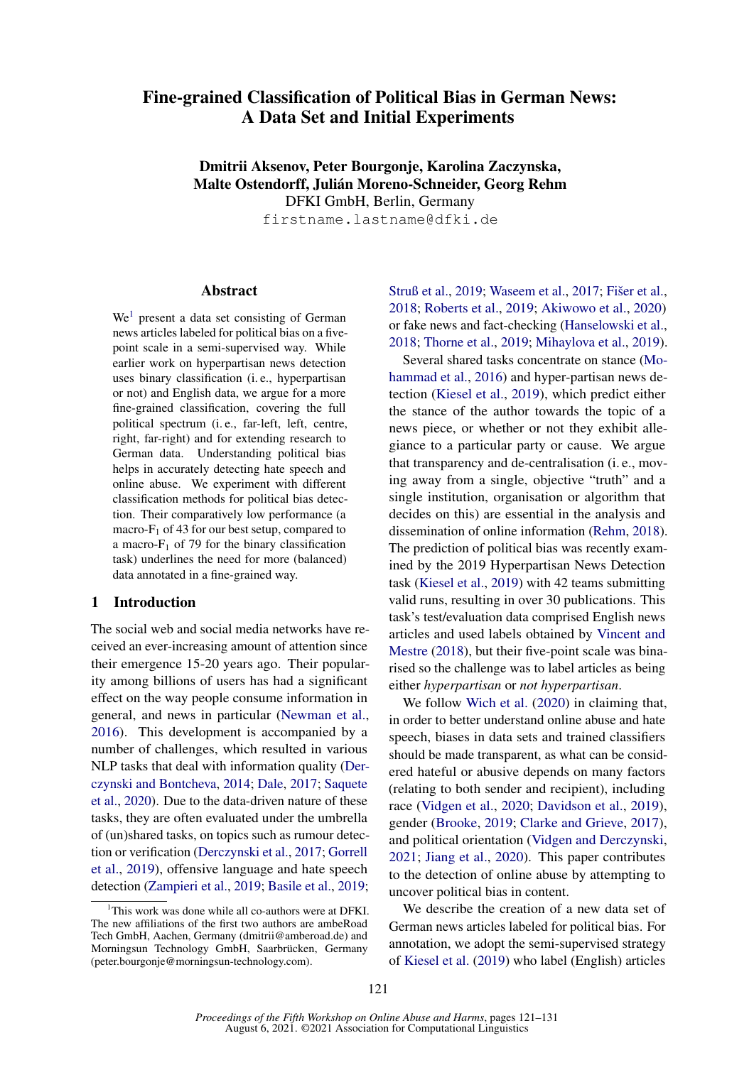# Fine-grained Classification of Political Bias in German News: A Data Set and Initial Experiments

# Dmitrii Aksenov, Peter Bourgonje, Karolina Zaczynska, Malte Ostendorff, Julián Moreno-Schneider, Georg Rehm DFKI GmbH, Berlin, Germany

firstname.lastname@dfki.de

#### Abstract

 $We<sup>1</sup>$  $We<sup>1</sup>$  $We<sup>1</sup>$  present a data set consisting of German news articles labeled for political bias on a fivepoint scale in a semi-supervised way. While earlier work on hyperpartisan news detection uses binary classification (i. e., hyperpartisan or not) and English data, we argue for a more fine-grained classification, covering the full political spectrum (i. e., far-left, left, centre, right, far-right) and for extending research to German data. Understanding political bias helps in accurately detecting hate speech and online abuse. We experiment with different classification methods for political bias detection. Their comparatively low performance (a macro- $F_1$  of 43 for our best setup, compared to a macro- $F_1$  of 79 for the binary classification task) underlines the need for more (balanced) data annotated in a fine-grained way.

## 1 Introduction

The social web and social media networks have received an ever-increasing amount of attention since their emergence 15-20 years ago. Their popularity among billions of users has had a significant effect on the way people consume information in general, and news in particular [\(Newman et al.,](#page-9-0) [2016\)](#page-9-0). This development is accompanied by a number of challenges, which resulted in various NLP tasks that deal with information quality [\(Der](#page-8-0)[czynski and Bontcheva,](#page-8-0) [2014;](#page-8-0) [Dale,](#page-8-1) [2017;](#page-8-1) [Saquete](#page-10-0) [et al.,](#page-10-0) [2020\)](#page-10-0). Due to the data-driven nature of these tasks, they are often evaluated under the umbrella of (un)shared tasks, on topics such as rumour detection or verification [\(Derczynski et al.,](#page-8-2) [2017;](#page-8-2) [Gorrell](#page-8-3) [et al.,](#page-8-3) [2019\)](#page-8-3), offensive language and hate speech detection [\(Zampieri et al.,](#page-10-1) [2019;](#page-10-1) [Basile et al.,](#page-8-4) [2019;](#page-8-4)

[Struß et al.,](#page-10-2) [2019;](#page-10-2) [Waseem et al.,](#page-10-3) [2017;](#page-10-3) [Fišer et al.,](#page-8-5) [2018;](#page-8-5) [Roberts et al.,](#page-10-4) [2019;](#page-10-4) [Akiwowo et al.,](#page-8-6) [2020\)](#page-8-6) or fake news and fact-checking [\(Hanselowski et al.,](#page-9-1) [2018;](#page-9-1) [Thorne et al.,](#page-10-5) [2019;](#page-10-5) [Mihaylova et al.,](#page-9-2) [2019\)](#page-9-2).

Several shared tasks concentrate on stance [\(Mo](#page-9-3)[hammad et al.,](#page-9-3) [2016\)](#page-9-3) and hyper-partisan news detection [\(Kiesel et al.,](#page-9-4) [2019\)](#page-9-4), which predict either the stance of the author towards the topic of a news piece, or whether or not they exhibit allegiance to a particular party or cause. We argue that transparency and de-centralisation (i. e., moving away from a single, objective "truth" and a single institution, organisation or algorithm that decides on this) are essential in the analysis and dissemination of online information [\(Rehm,](#page-9-5) [2018\)](#page-9-5). The prediction of political bias was recently examined by the 2019 Hyperpartisan News Detection task [\(Kiesel et al.,](#page-9-4) [2019\)](#page-9-4) with 42 teams submitting valid runs, resulting in over 30 publications. This task's test/evaluation data comprised English news articles and used labels obtained by [Vincent and](#page-10-6) [Mestre](#page-10-6) [\(2018\)](#page-10-6), but their five-point scale was binarised so the challenge was to label articles as being either *hyperpartisan* or *not hyperpartisan*.

We follow [Wich et al.](#page-10-7) [\(2020\)](#page-10-7) in claiming that, in order to better understand online abuse and hate speech, biases in data sets and trained classifiers should be made transparent, as what can be considered hateful or abusive depends on many factors (relating to both sender and recipient), including race [\(Vidgen et al.,](#page-10-8) [2020;](#page-10-8) [Davidson et al.,](#page-8-7) [2019\)](#page-8-7), gender [\(Brooke,](#page-8-8) [2019;](#page-8-8) [Clarke and Grieve,](#page-8-9) [2017\)](#page-8-9), and political orientation [\(Vidgen and Derczynski,](#page-10-9) [2021;](#page-10-9) [Jiang et al.,](#page-9-6) [2020\)](#page-9-6). This paper contributes to the detection of online abuse by attempting to uncover political bias in content.

We describe the creation of a new data set of German news articles labeled for political bias. For annotation, we adopt the semi-supervised strategy of [Kiesel et al.](#page-9-4) [\(2019\)](#page-9-4) who label (English) articles

<span id="page-0-0"></span><sup>&</sup>lt;sup>1</sup>This work was done while all co-authors were at DFKI. The new affiliations of the first two authors are ambeRoad Tech GmbH, Aachen, Germany (dmitrii@amberoad.de) and Morningsun Technology GmbH, Saarbrücken, Germany (peter.bourgonje@morningsun-technology.com).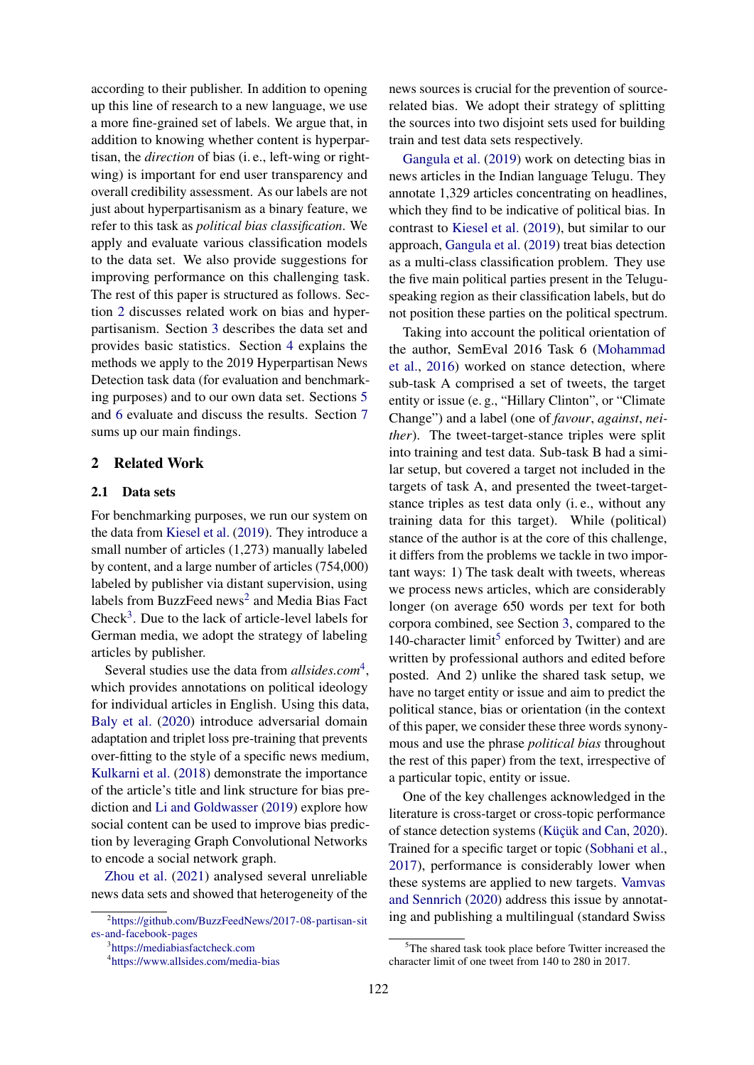according to their publisher. In addition to opening up this line of research to a new language, we use a more fine-grained set of labels. We argue that, in addition to knowing whether content is hyperpartisan, the *direction* of bias (i. e., left-wing or rightwing) is important for end user transparency and overall credibility assessment. As our labels are not just about hyperpartisanism as a binary feature, we refer to this task as *political bias classification*. We apply and evaluate various classification models to the data set. We also provide suggestions for improving performance on this challenging task. The rest of this paper is structured as follows. Section [2](#page-1-0) discusses related work on bias and hyperpartisanism. Section [3](#page-2-0) describes the data set and provides basic statistics. Section [4](#page-4-0) explains the methods we apply to the 2019 Hyperpartisan News Detection task data (for evaluation and benchmarking purposes) and to our own data set. Sections [5](#page-5-0) and [6](#page-5-1) evaluate and discuss the results. Section [7](#page-7-0) sums up our main findings.

# <span id="page-1-0"></span>2 Related Work

#### 2.1 Data sets

For benchmarking purposes, we run our system on the data from [Kiesel et al.](#page-9-4) [\(2019\)](#page-9-4). They introduce a small number of articles (1,273) manually labeled by content, and a large number of articles (754,000) labeled by publisher via distant supervision, using labels from BuzzFeed news<sup>[2](#page-1-1)</sup> and Media Bias Fact Check<sup>[3](#page-1-2)</sup>. Due to the lack of article-level labels for German media, we adopt the strategy of labeling articles by publisher.

Several studies use the data from *allsides.com*<sup>[4](#page-1-3)</sup>, which provides annotations on political ideology for individual articles in English. Using this data, [Baly et al.](#page-8-10) [\(2020\)](#page-8-10) introduce adversarial domain adaptation and triplet loss pre-training that prevents over-fitting to the style of a specific news medium, [Kulkarni et al.](#page-9-7) [\(2018\)](#page-9-7) demonstrate the importance of the article's title and link structure for bias prediction and [Li and Goldwasser](#page-9-8) [\(2019\)](#page-9-8) explore how social content can be used to improve bias prediction by leveraging Graph Convolutional Networks to encode a social network graph.

[Zhou et al.](#page-10-10) [\(2021\)](#page-10-10) analysed several unreliable news data sets and showed that heterogeneity of the news sources is crucial for the prevention of sourcerelated bias. We adopt their strategy of splitting the sources into two disjoint sets used for building train and test data sets respectively.

[Gangula et al.](#page-8-11) [\(2019\)](#page-8-11) work on detecting bias in news articles in the Indian language Telugu. They annotate 1,329 articles concentrating on headlines, which they find to be indicative of political bias. In contrast to [Kiesel et al.](#page-9-4) [\(2019\)](#page-9-4), but similar to our approach, [Gangula et al.](#page-8-11) [\(2019\)](#page-8-11) treat bias detection as a multi-class classification problem. They use the five main political parties present in the Teluguspeaking region as their classification labels, but do not position these parties on the political spectrum.

Taking into account the political orientation of the author, SemEval 2016 Task 6 [\(Mohammad](#page-9-3) [et al.,](#page-9-3) [2016\)](#page-9-3) worked on stance detection, where sub-task A comprised a set of tweets, the target entity or issue (e. g., "Hillary Clinton", or "Climate Change") and a label (one of *favour*, *against*, *neither*). The tweet-target-stance triples were split into training and test data. Sub-task B had a similar setup, but covered a target not included in the targets of task A, and presented the tweet-targetstance triples as test data only (i. e., without any training data for this target). While (political) stance of the author is at the core of this challenge, it differs from the problems we tackle in two important ways: 1) The task dealt with tweets, whereas we process news articles, which are considerably longer (on average 650 words per text for both corpora combined, see Section [3,](#page-2-0) compared to the 140-character  $limit<sup>5</sup>$  $limit<sup>5</sup>$  $limit<sup>5</sup>$  enforced by Twitter) and are written by professional authors and edited before posted. And 2) unlike the shared task setup, we have no target entity or issue and aim to predict the political stance, bias or orientation (in the context of this paper, we consider these three words synonymous and use the phrase *political bias* throughout the rest of this paper) from the text, irrespective of a particular topic, entity or issue.

One of the key challenges acknowledged in the literature is cross-target or cross-topic performance of stance detection systems [\(Küçük and Can,](#page-9-9) [2020\)](#page-9-9). Trained for a specific target or topic [\(Sobhani et al.,](#page-10-11) [2017\)](#page-10-11), performance is considerably lower when these systems are applied to new targets. [Vamvas](#page-10-12) [and Sennrich](#page-10-12) [\(2020\)](#page-10-12) address this issue by annotating and publishing a multilingual (standard Swiss

<span id="page-1-1"></span><sup>2</sup> [https://github.com/BuzzFeedNews/2017-08-partisan-sit](https://github.com/BuzzFeedNews/2017-08-partisan-sites-and-facebook-pages) [es-and-facebook-pages](https://github.com/BuzzFeedNews/2017-08-partisan-sites-and-facebook-pages)

<span id="page-1-2"></span><sup>3</sup> <https://mediabiasfactcheck.com>

<span id="page-1-3"></span><sup>4</sup> <https://www.allsides.com/media-bias>

<span id="page-1-4"></span><sup>&</sup>lt;sup>5</sup>The shared task took place before Twitter increased the character limit of one tweet from 140 to 280 in 2017.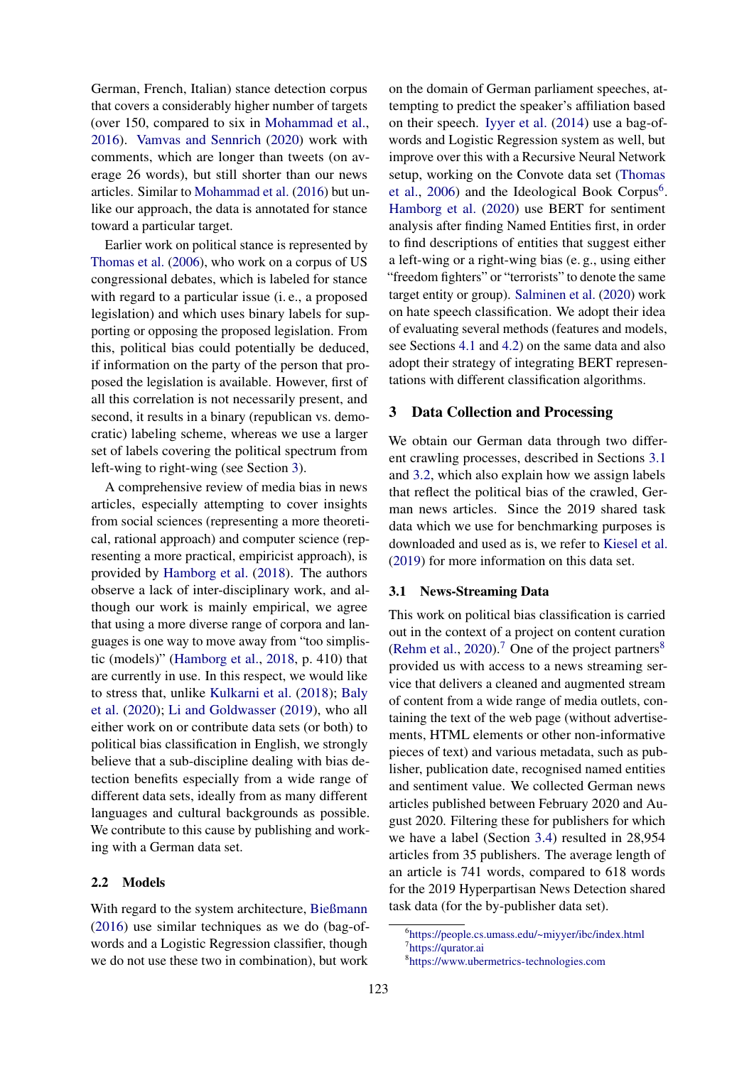German, French, Italian) stance detection corpus that covers a considerably higher number of targets (over 150, compared to six in [Mohammad et al.,](#page-9-3) [2016\)](#page-9-3). [Vamvas and Sennrich](#page-10-12) [\(2020\)](#page-10-12) work with comments, which are longer than tweets (on average 26 words), but still shorter than our news articles. Similar to [Mohammad et al.](#page-9-3) [\(2016\)](#page-9-3) but unlike our approach, the data is annotated for stance toward a particular target.

Earlier work on political stance is represented by [Thomas et al.](#page-10-13) [\(2006\)](#page-10-13), who work on a corpus of US congressional debates, which is labeled for stance with regard to a particular issue (i. e., a proposed legislation) and which uses binary labels for supporting or opposing the proposed legislation. From this, political bias could potentially be deduced, if information on the party of the person that proposed the legislation is available. However, first of all this correlation is not necessarily present, and second, it results in a binary (republican vs. democratic) labeling scheme, whereas we use a larger set of labels covering the political spectrum from left-wing to right-wing (see Section [3\)](#page-2-0).

A comprehensive review of media bias in news articles, especially attempting to cover insights from social sciences (representing a more theoretical, rational approach) and computer science (representing a more practical, empiricist approach), is provided by [Hamborg et al.](#page-8-12) [\(2018\)](#page-8-12). The authors observe a lack of inter-disciplinary work, and although our work is mainly empirical, we agree that using a more diverse range of corpora and languages is one way to move away from "too simplistic (models)" [\(Hamborg et al.,](#page-8-12) [2018,](#page-8-12) p. 410) that are currently in use. In this respect, we would like to stress that, unlike [Kulkarni et al.](#page-9-7) [\(2018\)](#page-9-7); [Baly](#page-8-10) [et al.](#page-8-10) [\(2020\)](#page-8-10); [Li and Goldwasser](#page-9-8) [\(2019\)](#page-9-8), who all either work on or contribute data sets (or both) to political bias classification in English, we strongly believe that a sub-discipline dealing with bias detection benefits especially from a wide range of different data sets, ideally from as many different languages and cultural backgrounds as possible. We contribute to this cause by publishing and working with a German data set.

#### 2.2 Models

With regard to the system architecture, [Bießmann](#page-8-13) [\(2016\)](#page-8-13) use similar techniques as we do (bag-ofwords and a Logistic Regression classifier, though we do not use these two in combination), but work

on the domain of German parliament speeches, attempting to predict the speaker's affiliation based on their speech. [Iyyer et al.](#page-9-10) [\(2014\)](#page-9-10) use a bag-ofwords and Logistic Regression system as well, but improve over this with a Recursive Neural Network setup, working on the Convote data set [\(Thomas](#page-10-13) [et al.,](#page-10-13) [2006\)](#page-10-13) and the Ideological Book Corpus<sup>[6](#page-2-1)</sup>. [Hamborg et al.](#page-8-14) [\(2020\)](#page-8-14) use BERT for sentiment analysis after finding Named Entities first, in order to find descriptions of entities that suggest either a left-wing or a right-wing bias (e. g., using either "freedom fighters" or "terrorists" to denote the same target entity or group). [Salminen et al.](#page-10-14) [\(2020\)](#page-10-14) work on hate speech classification. We adopt their idea of evaluating several methods (features and models, see Sections [4.1](#page-4-1) and [4.2\)](#page-5-2) on the same data and also adopt their strategy of integrating BERT representations with different classification algorithms.

# <span id="page-2-0"></span>3 Data Collection and Processing

We obtain our German data through two different crawling processes, described in Sections [3.1](#page-2-2) and [3.2,](#page-3-0) which also explain how we assign labels that reflect the political bias of the crawled, German news articles. Since the 2019 shared task data which we use for benchmarking purposes is downloaded and used as is, we refer to [Kiesel et al.](#page-9-4) [\(2019\)](#page-9-4) for more information on this data set.

#### <span id="page-2-2"></span>3.1 News-Streaming Data

This work on political bias classification is carried out in the context of a project on content curation [\(Rehm et al.,](#page-9-11) [2020\)](#page-9-11).<sup>[7](#page-2-3)</sup> One of the project partners<sup>[8](#page-2-4)</sup> provided us with access to a news streaming service that delivers a cleaned and augmented stream of content from a wide range of media outlets, containing the text of the web page (without advertisements, HTML elements or other non-informative pieces of text) and various metadata, such as publisher, publication date, recognised named entities and sentiment value. We collected German news articles published between February 2020 and August 2020. Filtering these for publishers for which we have a label (Section [3.4\)](#page-3-1) resulted in 28,954 articles from 35 publishers. The average length of an article is 741 words, compared to 618 words for the 2019 Hyperpartisan News Detection shared task data (for the by-publisher data set).

<span id="page-2-3"></span><span id="page-2-1"></span><sup>6</sup> <https://people.cs.umass.edu/~miyyer/ibc/index.html> 7 <https://qurator.ai>

<span id="page-2-4"></span><sup>8</sup> <https://www.ubermetrics-technologies.com>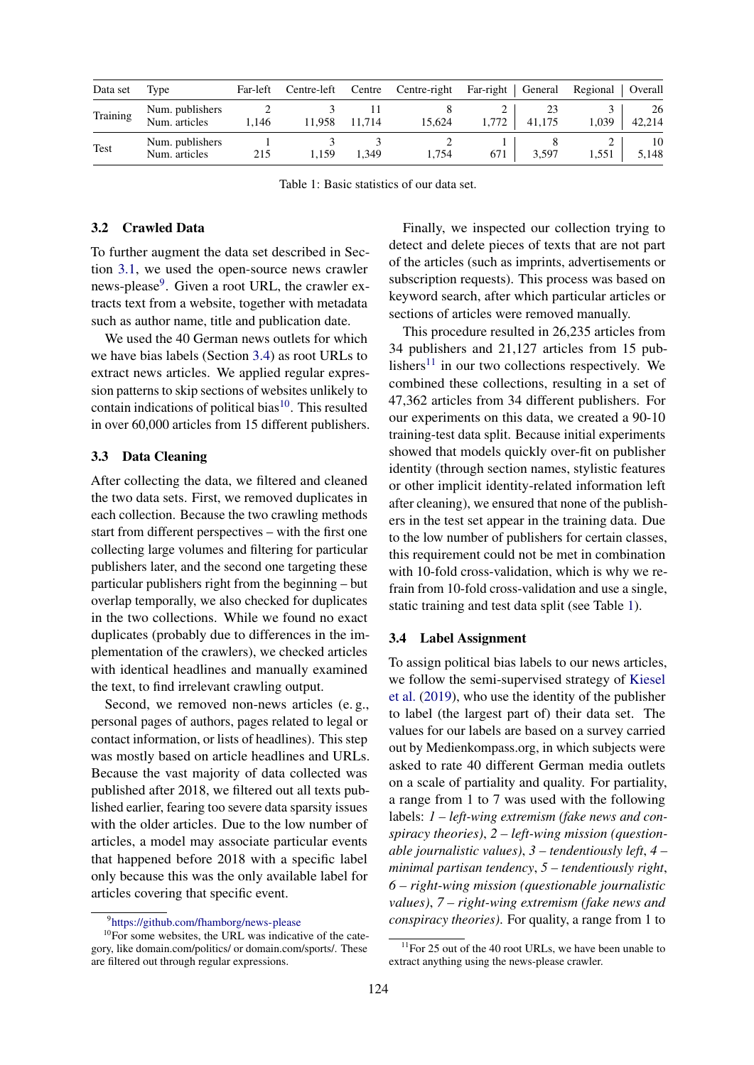<span id="page-3-5"></span>

| Data set    | Type                             | Far-left | Centre-left |        | Centre Centre-right Far-right General |       |        | Regional   Overall |              |
|-------------|----------------------------------|----------|-------------|--------|---------------------------------------|-------|--------|--------------------|--------------|
| Training    | Num. publishers<br>Num. articles | 1.146    | 11.958      | 11.714 | 15.624                                | 1.772 | 41,175 | 1.039              | 26<br>42,214 |
| <b>Test</b> | Num. publishers<br>Num. articles | 215      | 1.159       | 1.349  | 1.754                                 | 671   | 3,597  | 1.551              | 10<br>5,148  |

Table 1: Basic statistics of our data set.

## <span id="page-3-0"></span>3.2 Crawled Data

To further augment the data set described in Section [3.1,](#page-2-2) we used the open-source news crawler news-please<sup>[9](#page-3-2)</sup>. Given a root URL, the crawler extracts text from a website, together with metadata such as author name, title and publication date.

We used the 40 German news outlets for which we have bias labels (Section [3.4\)](#page-3-1) as root URLs to extract news articles. We applied regular expression patterns to skip sections of websites unlikely to contain indications of political bias<sup>[10](#page-3-3)</sup>. This resulted in over 60,000 articles from 15 different publishers.

#### 3.3 Data Cleaning

After collecting the data, we filtered and cleaned the two data sets. First, we removed duplicates in each collection. Because the two crawling methods start from different perspectives – with the first one collecting large volumes and filtering for particular publishers later, and the second one targeting these particular publishers right from the beginning – but overlap temporally, we also checked for duplicates in the two collections. While we found no exact duplicates (probably due to differences in the implementation of the crawlers), we checked articles with identical headlines and manually examined the text, to find irrelevant crawling output.

Second, we removed non-news articles (e. g., personal pages of authors, pages related to legal or contact information, or lists of headlines). This step was mostly based on article headlines and URLs. Because the vast majority of data collected was published after 2018, we filtered out all texts published earlier, fearing too severe data sparsity issues with the older articles. Due to the low number of articles, a model may associate particular events that happened before 2018 with a specific label only because this was the only available label for articles covering that specific event.

Finally, we inspected our collection trying to detect and delete pieces of texts that are not part of the articles (such as imprints, advertisements or subscription requests). This process was based on keyword search, after which particular articles or sections of articles were removed manually.

This procedure resulted in 26,235 articles from 34 publishers and 21,127 articles from 15 pub-lishers<sup>[11](#page-3-4)</sup> in our two collections respectively. We combined these collections, resulting in a set of 47,362 articles from 34 different publishers. For our experiments on this data, we created a 90-10 training-test data split. Because initial experiments showed that models quickly over-fit on publisher identity (through section names, stylistic features or other implicit identity-related information left after cleaning), we ensured that none of the publishers in the test set appear in the training data. Due to the low number of publishers for certain classes, this requirement could not be met in combination with 10-fold cross-validation, which is why we refrain from 10-fold cross-validation and use a single, static training and test data split (see Table [1\)](#page-3-5).

#### <span id="page-3-1"></span>3.4 Label Assignment

To assign political bias labels to our news articles, we follow the semi-supervised strategy of [Kiesel](#page-9-4) [et al.](#page-9-4) [\(2019\)](#page-9-4), who use the identity of the publisher to label (the largest part of) their data set. The values for our labels are based on a survey carried out by Medienkompass.org, in which subjects were asked to rate 40 different German media outlets on a scale of partiality and quality. For partiality, a range from 1 to 7 was used with the following labels: *1 – left-wing extremism (fake news and conspiracy theories)*, *2 – left-wing mission (questionable journalistic values)*, *3 – tendentiously left*, *4 – minimal partisan tendency*, *5 – tendentiously right*, *6 – right-wing mission (questionable journalistic values)*, *7 – right-wing extremism (fake news and conspiracy theories)*. For quality, a range from 1 to

<span id="page-3-3"></span><span id="page-3-2"></span><sup>9</sup> <https://github.com/fhamborg/news-please>

 $10$ For some websites, the URL was indicative of the category, like domain.com/politics/ or domain.com/sports/. These are filtered out through regular expressions.

<span id="page-3-4"></span> $11$  For 25 out of the 40 root URLs, we have been unable to extract anything using the news-please crawler.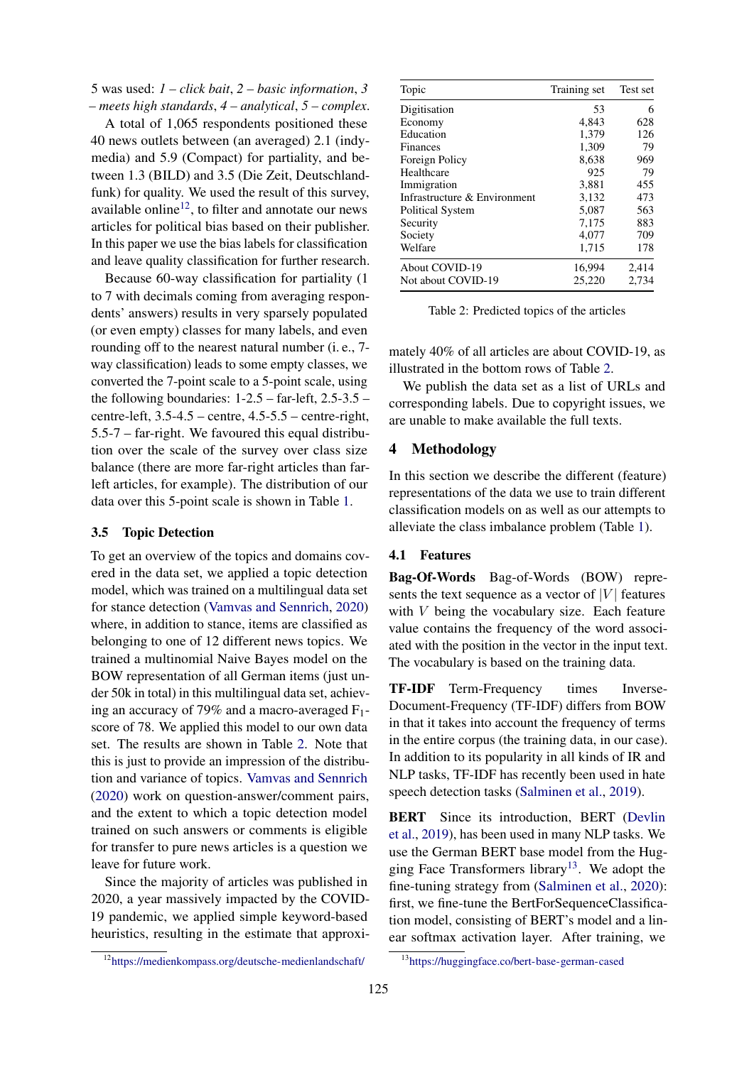5 was used: *1 – click bait*, *2 – basic information*, *3 – meets high standards*, *4 – analytical*, *5 – complex*.

A total of 1,065 respondents positioned these 40 news outlets between (an averaged) 2.1 (indymedia) and 5.9 (Compact) for partiality, and between 1.3 (BILD) and 3.5 (Die Zeit, Deutschlandfunk) for quality. We used the result of this survey, available online<sup>[12](#page-4-2)</sup>, to filter and annotate our news articles for political bias based on their publisher. In this paper we use the bias labels for classification and leave quality classification for further research.

Because 60-way classification for partiality (1 to 7 with decimals coming from averaging respondents' answers) results in very sparsely populated (or even empty) classes for many labels, and even rounding off to the nearest natural number (i. e., 7 way classification) leads to some empty classes, we converted the 7-point scale to a 5-point scale, using the following boundaries:  $1-2.5$  – far-left,  $2.5-3.5$  – centre-left,  $3.5-4.5$  – centre,  $4.5-5.5$  – centre-right, 5.5-7 – far-right. We favoured this equal distribution over the scale of the survey over class size balance (there are more far-right articles than farleft articles, for example). The distribution of our data over this 5-point scale is shown in Table [1.](#page-3-5)

## 3.5 Topic Detection

To get an overview of the topics and domains covered in the data set, we applied a topic detection model, which was trained on a multilingual data set for stance detection [\(Vamvas and Sennrich,](#page-10-12) [2020\)](#page-10-12) where, in addition to stance, items are classified as belonging to one of 12 different news topics. We trained a multinomial Naive Bayes model on the BOW representation of all German items (just under 50k in total) in this multilingual data set, achieving an accuracy of 79% and a macro-averaged  $F_1$ score of 78. We applied this model to our own data set. The results are shown in Table [2.](#page-4-3) Note that this is just to provide an impression of the distribution and variance of topics. [Vamvas and Sennrich](#page-10-12) [\(2020\)](#page-10-12) work on question-answer/comment pairs, and the extent to which a topic detection model trained on such answers or comments is eligible for transfer to pure news articles is a question we leave for future work.

Since the majority of articles was published in 2020, a year massively impacted by the COVID-19 pandemic, we applied simple keyword-based heuristics, resulting in the estimate that approxi-

<span id="page-4-3"></span>

| Topic                        | Training set | Test set |
|------------------------------|--------------|----------|
| Digitisation                 | 53           | 6        |
| Economy                      | 4,843        | 628      |
| Education                    | 1,379        | 126      |
| Finances                     | 1,309        | 79       |
| Foreign Policy               | 8,638        | 969      |
| Healthcare                   | 925          | 79       |
| Immigration                  | 3,881        | 455      |
| Infrastructure & Environment | 3,132        | 473      |
| <b>Political System</b>      | 5,087        | 563      |
| Security                     | 7,175        | 883      |
| Society                      | 4,077        | 709      |
| Welfare                      | 1,715        | 178      |
| About COVID-19               | 16,994       | 2,414    |
| Not about COVID-19           | 25.220       | 2.734    |

Table 2: Predicted topics of the articles

mately 40% of all articles are about COVID-19, as illustrated in the bottom rows of Table [2.](#page-4-3)

We publish the data set as a list of URLs and corresponding labels. Due to copyright issues, we are unable to make available the full texts.

# <span id="page-4-0"></span>4 Methodology

In this section we describe the different (feature) representations of the data we use to train different classification models on as well as our attempts to alleviate the class imbalance problem (Table [1\)](#page-3-5).

## <span id="page-4-1"></span>4.1 Features

Bag-Of-Words Bag-of-Words (BOW) represents the text sequence as a vector of  $|V|$  features with *V* being the vocabulary size. Each feature value contains the frequency of the word associated with the position in the vector in the input text. The vocabulary is based on the training data.

TF-IDF Term-Frequency times Inverse-Document-Frequency (TF-IDF) differs from BOW in that it takes into account the frequency of terms in the entire corpus (the training data, in our case). In addition to its popularity in all kinds of IR and NLP tasks, TF-IDF has recently been used in hate speech detection tasks [\(Salminen et al.,](#page-10-15) [2019\)](#page-10-15).

BERT Since its introduction, BERT [\(Devlin](#page-8-15) [et al.,](#page-8-15) [2019\)](#page-8-15), has been used in many NLP tasks. We use the German BERT base model from the Hug-ging Face Transformers library<sup>[13](#page-4-4)</sup>. We adopt the fine-tuning strategy from [\(Salminen et al.,](#page-10-14) [2020\)](#page-10-14): first, we fine-tune the BertForSequenceClassification model, consisting of BERT's model and a linear softmax activation layer. After training, we

<span id="page-4-2"></span><sup>12</sup><https://medienkompass.org/deutsche-medienlandschaft/>

<span id="page-4-4"></span><sup>13</sup><https://huggingface.co/bert-base-german-cased>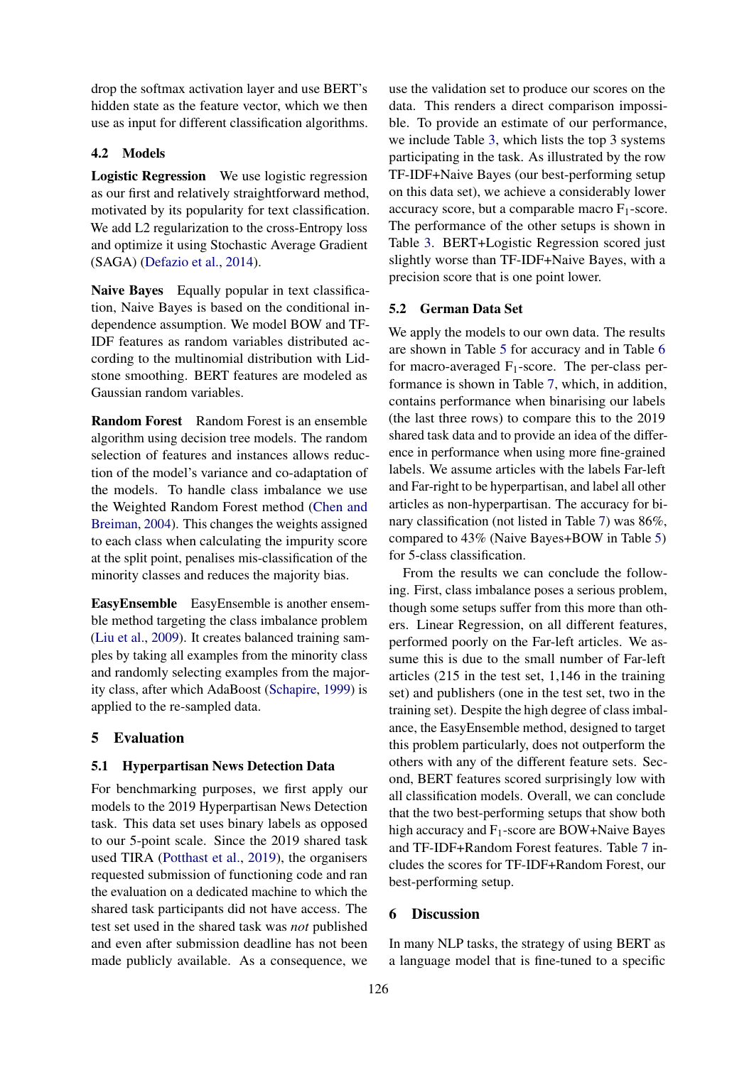drop the softmax activation layer and use BERT's hidden state as the feature vector, which we then use as input for different classification algorithms.

## <span id="page-5-2"></span>4.2 Models

Logistic Regression We use logistic regression as our first and relatively straightforward method, motivated by its popularity for text classification. We add L2 regularization to the cross-Entropy loss and optimize it using Stochastic Average Gradient (SAGA) [\(Defazio et al.,](#page-8-16) [2014\)](#page-8-16).

Naive Bayes Equally popular in text classification, Naive Bayes is based on the conditional independence assumption. We model BOW and TF-IDF features as random variables distributed according to the multinomial distribution with Lidstone smoothing. BERT features are modeled as Gaussian random variables.

Random Forest Random Forest is an ensemble algorithm using decision tree models. The random selection of features and instances allows reduction of the model's variance and co-adaptation of the models. To handle class imbalance we use the Weighted Random Forest method [\(Chen and](#page-8-17) [Breiman,](#page-8-17) [2004\)](#page-8-17). This changes the weights assigned to each class when calculating the impurity score at the split point, penalises mis-classification of the minority classes and reduces the majority bias.

EasyEnsemble EasyEnsemble is another ensemble method targeting the class imbalance problem [\(Liu et al.,](#page-9-12) [2009\)](#page-9-12). It creates balanced training samples by taking all examples from the minority class and randomly selecting examples from the majority class, after which AdaBoost [\(Schapire,](#page-10-16) [1999\)](#page-10-16) is applied to the re-sampled data.

# <span id="page-5-0"></span>5 Evaluation

## 5.1 Hyperpartisan News Detection Data

For benchmarking purposes, we first apply our models to the 2019 Hyperpartisan News Detection task. This data set uses binary labels as opposed to our 5-point scale. Since the 2019 shared task used TIRA [\(Potthast et al.,](#page-9-13) [2019\)](#page-9-13), the organisers requested submission of functioning code and ran the evaluation on a dedicated machine to which the shared task participants did not have access. The test set used in the shared task was *not* published and even after submission deadline has not been made publicly available. As a consequence, we

use the validation set to produce our scores on the data. This renders a direct comparison impossible. To provide an estimate of our performance, we include Table [3,](#page-6-0) which lists the top 3 systems participating in the task. As illustrated by the row TF-IDF+Naive Bayes (our best-performing setup on this data set), we achieve a considerably lower accuracy score, but a comparable macro  $F_1$ -score. The performance of the other setups is shown in Table [3.](#page-6-0) BERT+Logistic Regression scored just slightly worse than TF-IDF+Naive Bayes, with a precision score that is one point lower.

#### 5.2 German Data Set

We apply the models to our own data. The results are shown in Table [5](#page-6-1) for accuracy and in Table [6](#page-6-2) for macro-averaged  $F_1$ -score. The per-class performance is shown in Table [7,](#page-6-3) which, in addition, contains performance when binarising our labels (the last three rows) to compare this to the 2019 shared task data and to provide an idea of the difference in performance when using more fine-grained labels. We assume articles with the labels Far-left and Far-right to be hyperpartisan, and label all other articles as non-hyperpartisan. The accuracy for binary classification (not listed in Table [7\)](#page-6-3) was 86%, compared to 43% (Naive Bayes+BOW in Table [5\)](#page-6-1) for 5-class classification.

From the results we can conclude the following. First, class imbalance poses a serious problem, though some setups suffer from this more than others. Linear Regression, on all different features, performed poorly on the Far-left articles. We assume this is due to the small number of Far-left articles (215 in the test set, 1,146 in the training set) and publishers (one in the test set, two in the training set). Despite the high degree of class imbalance, the EasyEnsemble method, designed to target this problem particularly, does not outperform the others with any of the different feature sets. Second, BERT features scored surprisingly low with all classification models. Overall, we can conclude that the two best-performing setups that show both high accuracy and  $F_1$ -score are BOW+Naive Bayes and TF-IDF+Random Forest features. Table [7](#page-6-3) includes the scores for TF-IDF+Random Forest, our best-performing setup.

# <span id="page-5-1"></span>6 Discussion

In many NLP tasks, the strategy of using BERT as a language model that is fine-tuned to a specific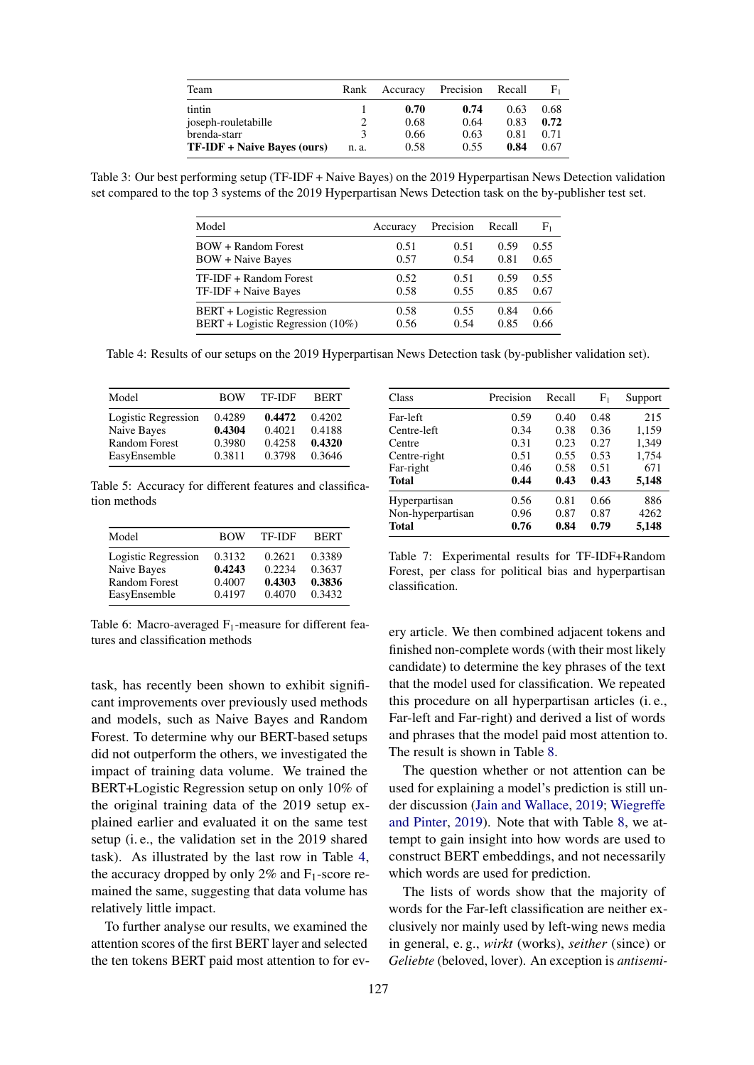<span id="page-6-0"></span>

| Team                               | Rank  | Accuracy | Precision | Recall | $F_1$ |
|------------------------------------|-------|----------|-----------|--------|-------|
| tintin                             |       | 0.70     | 0.74      | 0.63   | 0.68  |
| joseph-rouletabille                |       | 0.68     | 0.64      | 0.83   | 0.72  |
| brenda-starr                       |       | 0.66     | 0.63      | 0.81   | 0.71  |
| <b>TF-IDF + Naive Baves (ours)</b> | n. a. | 0.58     | 0.55      | 0.84   | 0.67  |

<span id="page-6-4"></span>Table 3: Our best performing setup (TF-IDF + Naive Bayes) on the 2019 Hyperpartisan News Detection validation set compared to the top 3 systems of the 2019 Hyperpartisan News Detection task on the by-publisher test set.

| Model                               | Accuracy | Precision | Recall | ${\rm F}_1$ |
|-------------------------------------|----------|-----------|--------|-------------|
| BOW + Random Forest                 | 0.51     | 0.51      | 0.59   | 0.55        |
| <b>BOW</b> + Naive Bayes            | 0.57     | 0.54      | 0.81   | 0.65        |
| TF-IDF + Random Forest              | 0.52     | 0.51      | 0.59   | 0.55        |
| TF-IDF + Naive Bayes                | 0.58     | 0.55      | 0.85   | 0.67        |
| BERT + Logistic Regression          | 0.58     | 0.55      | 0.84   | 0.66        |
| BERT + Logistic Regression $(10\%)$ | 0.56     | 0.54      | 0.85   | 0.66        |

Table 4: Results of our setups on the 2019 Hyperpartisan News Detection task (by-publisher validation set).

<span id="page-6-1"></span>

| Model                | <b>BOW</b> | <b>TF-IDF</b> | <b>BERT</b> |
|----------------------|------------|---------------|-------------|
| Logistic Regression  | 0.4289     | 0.4472        | 0.4202      |
| Naive Bayes          | 0.4304     | 0.4021        | 0.4188      |
| <b>Random Forest</b> | 0.3980     | 0.4258        | 0.4320      |
| EasyEnsemble         | 0.3811     | 0.3798        | 0.3646      |

Table 5: Accuracy for different features and classification methods

<span id="page-6-2"></span>

| Model                | <b>BOW</b> | <b>TF-IDF</b> | <b>BERT</b> |
|----------------------|------------|---------------|-------------|
| Logistic Regression  | 0.3132     | 0.2621        | 0.3389      |
| Naive Bayes          | 0.4243     | 0.2234        | 0.3637      |
| <b>Random Forest</b> | 0.4007     | 0.4303        | 0.3836      |
| EasyEnsemble         | 0.4197     | 0.4070        | 0.3432      |

Table 6: Macro-averaged  $F_1$ -measure for different features and classification methods

task, has recently been shown to exhibit significant improvements over previously used methods and models, such as Naive Bayes and Random Forest. To determine why our BERT-based setups did not outperform the others, we investigated the impact of training data volume. We trained the BERT+Logistic Regression setup on only 10% of the original training data of the 2019 setup explained earlier and evaluated it on the same test setup (i. e., the validation set in the 2019 shared task). As illustrated by the last row in Table [4,](#page-6-4) the accuracy dropped by only  $2\%$  and  $F_1$ -score remained the same, suggesting that data volume has relatively little impact.

To further analyse our results, we examined the attention scores of the first BERT layer and selected the ten tokens BERT paid most attention to for ev-

<span id="page-6-3"></span>

| Class             | Precision | Recall | ${\rm F}_1$ | Support |
|-------------------|-----------|--------|-------------|---------|
| Far-left          | 0.59      | 0.40   | 0.48        | 215     |
| Centre-left       | 0.34      | 0.38   | 0.36        | 1.159   |
| Centre            | 0.31      | 0.23   | 0.27        | 1,349   |
| Centre-right      | 0.51      | 0.55   | 0.53        | 1,754   |
| Far-right         | 0.46      | 0.58   | 0.51        | 671     |
| Total             | 0.44      | 0.43   | 0.43        | 5,148   |
| Hyperpartisan     | 0.56      | 0.81   | 0.66        | 886     |
| Non-hyperpartisan | 0.96      | 0.87   | 0.87        | 4262    |
| <b>Total</b>      | 0.76      | 0.84   | 0.79        | 5,148   |

|                 |  |  |  | Table 7: Experimental results for TF-IDF+Random        |  |
|-----------------|--|--|--|--------------------------------------------------------|--|
|                 |  |  |  | Forest, per class for political bias and hyperpartisan |  |
| classification. |  |  |  |                                                        |  |

ery article. We then combined adjacent tokens and finished non-complete words (with their most likely candidate) to determine the key phrases of the text that the model used for classification. We repeated this procedure on all hyperpartisan articles (i. e., Far-left and Far-right) and derived a list of words and phrases that the model paid most attention to. The result is shown in Table [8.](#page-7-1)

The question whether or not attention can be used for explaining a model's prediction is still under discussion [\(Jain and Wallace,](#page-9-14) [2019;](#page-9-14) [Wiegreffe](#page-10-17) [and Pinter,](#page-10-17) [2019\)](#page-10-17). Note that with Table [8,](#page-7-1) we attempt to gain insight into how words are used to construct BERT embeddings, and not necessarily which words are used for prediction.

The lists of words show that the majority of words for the Far-left classification are neither exclusively nor mainly used by left-wing news media in general, e. g., *wirkt* (works), *seither* (since) or *Geliebte* (beloved, lover). An exception is *antisemi-*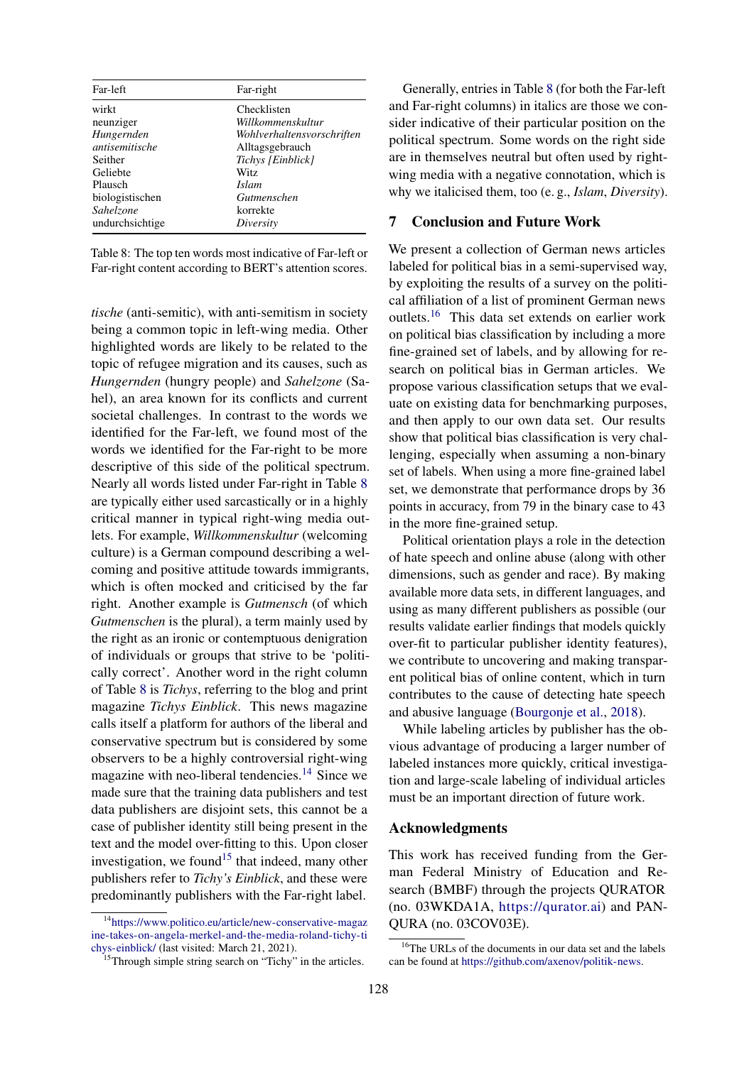<span id="page-7-1"></span>

| Far-left         | Far-right                  |
|------------------|----------------------------|
| wirkt            | Checklisten                |
| neunziger        | Willkommenskultur          |
| Hungernden       | Wohlverhaltensvorschriften |
| antisemitische   | Alltagsgebrauch            |
| Seither          | Tichys [Einblick]          |
| Geliebte         | Witz                       |
| Plausch          | <i>Islam</i>               |
| biologistischen  | Gutmenschen                |
| <b>Sahelzone</b> | korrekte                   |
| undurchsichtige  | Diversity                  |

Table 8: The top ten words most indicative of Far-left or Far-right content according to BERT's attention scores.

*tische* (anti-semitic), with anti-semitism in society being a common topic in left-wing media. Other highlighted words are likely to be related to the topic of refugee migration and its causes, such as *Hungernden* (hungry people) and *Sahelzone* (Sahel), an area known for its conflicts and current societal challenges. In contrast to the words we identified for the Far-left, we found most of the words we identified for the Far-right to be more descriptive of this side of the political spectrum. Nearly all words listed under Far-right in Table [8](#page-7-1) are typically either used sarcastically or in a highly critical manner in typical right-wing media outlets. For example, *Willkommenskultur* (welcoming culture) is a German compound describing a welcoming and positive attitude towards immigrants, which is often mocked and criticised by the far right. Another example is *Gutmensch* (of which *Gutmenschen* is the plural), a term mainly used by the right as an ironic or contemptuous denigration of individuals or groups that strive to be 'politically correct'. Another word in the right column of Table [8](#page-7-1) is *Tichys*, referring to the blog and print magazine *Tichys Einblick*. This news magazine calls itself a platform for authors of the liberal and conservative spectrum but is considered by some observers to be a highly controversial right-wing magazine with neo-liberal tendencies.<sup>[14](#page-7-2)</sup> Since we made sure that the training data publishers and test data publishers are disjoint sets, this cannot be a case of publisher identity still being present in the text and the model over-fitting to this. Upon closer investigation, we found<sup>[15](#page-7-3)</sup> that indeed, many other publishers refer to *Tichy's Einblick*, and these were predominantly publishers with the Far-right label.

Generally, entries in Table [8](#page-7-1) (for both the Far-left and Far-right columns) in italics are those we consider indicative of their particular position on the political spectrum. Some words on the right side are in themselves neutral but often used by rightwing media with a negative connotation, which is why we italicised them, too (e. g., *Islam*, *Diversity*).

# <span id="page-7-0"></span>7 Conclusion and Future Work

We present a collection of German news articles labeled for political bias in a semi-supervised way, by exploiting the results of a survey on the political affiliation of a list of prominent German news outlets.[16](#page-7-4) This data set extends on earlier work on political bias classification by including a more fine-grained set of labels, and by allowing for research on political bias in German articles. We propose various classification setups that we evaluate on existing data for benchmarking purposes, and then apply to our own data set. Our results show that political bias classification is very challenging, especially when assuming a non-binary set of labels. When using a more fine-grained label set, we demonstrate that performance drops by 36 points in accuracy, from 79 in the binary case to 43 in the more fine-grained setup.

Political orientation plays a role in the detection of hate speech and online abuse (along with other dimensions, such as gender and race). By making available more data sets, in different languages, and using as many different publishers as possible (our results validate earlier findings that models quickly over-fit to particular publisher identity features), we contribute to uncovering and making transparent political bias of online content, which in turn contributes to the cause of detecting hate speech and abusive language [\(Bourgonje et al.,](#page-8-18) [2018\)](#page-8-18).

While labeling articles by publisher has the obvious advantage of producing a larger number of labeled instances more quickly, critical investigation and large-scale labeling of individual articles must be an important direction of future work.

## Acknowledgments

This work has received funding from the German Federal Ministry of Education and Research (BMBF) through the projects QURATOR (no. 03WKDA1A, [https://qurator.ai\)](https://qurator.ai) and PAN-QURA (no. 03COV03E).

<span id="page-7-2"></span><sup>&</sup>lt;sup>14</sup>[https://www.politico.eu/article/new-conservative-magaz](https://www.politico.eu/article/new-conservative-magazine-takes-on-angela-merkel-and-the-media-roland-tichy-tichys-einblick/) [ine-takes-on-angela-merkel-and-the-media-roland-tichy-ti](https://www.politico.eu/article/new-conservative-magazine-takes-on-angela-merkel-and-the-media-roland-tichy-tichys-einblick/) [chys-einblick/](https://www.politico.eu/article/new-conservative-magazine-takes-on-angela-merkel-and-the-media-roland-tichy-tichys-einblick/) (last visited: March 21, 2021).

<span id="page-7-3"></span><sup>&</sup>lt;sup>15</sup>Through simple string search on "Tichy" in the articles.

<span id="page-7-4"></span><sup>&</sup>lt;sup>16</sup>The URLs of the documents in our data set and the labels can be found at [https://github.com/axenov/politik-news.](https://github.com/axenov/politik-news)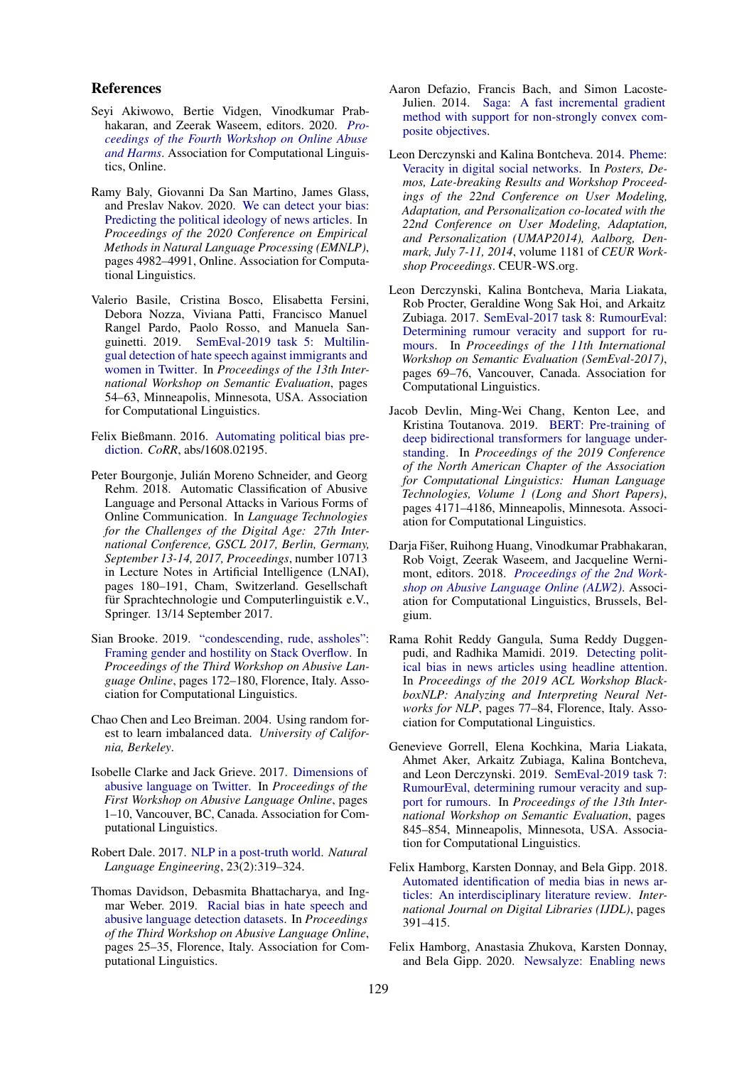## References

- <span id="page-8-6"></span>Seyi Akiwowo, Bertie Vidgen, Vinodkumar Prabhakaran, and Zeerak Waseem, editors. 2020. *[Pro](https://www.aclweb.org/anthology/2020.alw-1.0)[ceedings of the Fourth Workshop on Online Abuse](https://www.aclweb.org/anthology/2020.alw-1.0) [and Harms](https://www.aclweb.org/anthology/2020.alw-1.0)*. Association for Computational Linguistics, Online.
- <span id="page-8-10"></span>Ramy Baly, Giovanni Da San Martino, James Glass, and Preslav Nakov. 2020. [We can detect your bias:](https://doi.org/10.18653/v1/2020.emnlp-main.404) [Predicting the political ideology of news articles.](https://doi.org/10.18653/v1/2020.emnlp-main.404) In *Proceedings of the 2020 Conference on Empirical Methods in Natural Language Processing (EMNLP)*, pages 4982–4991, Online. Association for Computational Linguistics.
- <span id="page-8-4"></span>Valerio Basile, Cristina Bosco, Elisabetta Fersini, Debora Nozza, Viviana Patti, Francisco Manuel Rangel Pardo, Paolo Rosso, and Manuela Sanguinetti. 2019. [SemEval-2019 task 5: Multilin](https://doi.org/10.18653/v1/S19-2007)[gual detection of hate speech against immigrants and](https://doi.org/10.18653/v1/S19-2007) [women in Twitter.](https://doi.org/10.18653/v1/S19-2007) In *Proceedings of the 13th International Workshop on Semantic Evaluation*, pages 54–63, Minneapolis, Minnesota, USA. Association for Computational Linguistics.
- <span id="page-8-13"></span>Felix Bießmann. 2016. [Automating political bias pre](http://arxiv.org/abs/1608.02195)[diction.](http://arxiv.org/abs/1608.02195) *CoRR*, abs/1608.02195.
- <span id="page-8-18"></span>Peter Bourgonje, Julián Moreno Schneider, and Georg Rehm. 2018. Automatic Classification of Abusive Language and Personal Attacks in Various Forms of Online Communication. In *Language Technologies for the Challenges of the Digital Age: 27th International Conference, GSCL 2017, Berlin, Germany, September 13-14, 2017, Proceedings*, number 10713 in Lecture Notes in Artificial Intelligence (LNAI), pages 180–191, Cham, Switzerland. Gesellschaft für Sprachtechnologie und Computerlinguistik e.V., Springer. 13/14 September 2017.
- <span id="page-8-8"></span>Sian Brooke. 2019. ["condescending, rude, assholes":](https://doi.org/10.18653/v1/W19-3519) [Framing gender and hostility on Stack Overflow.](https://doi.org/10.18653/v1/W19-3519) In *Proceedings of the Third Workshop on Abusive Language Online*, pages 172–180, Florence, Italy. Association for Computational Linguistics.
- <span id="page-8-17"></span>Chao Chen and Leo Breiman. 2004. Using random forest to learn imbalanced data. *University of California, Berkeley*.
- <span id="page-8-9"></span>Isobelle Clarke and Jack Grieve. 2017. [Dimensions of](https://doi.org/10.18653/v1/W17-3001) [abusive language on Twitter.](https://doi.org/10.18653/v1/W17-3001) In *Proceedings of the First Workshop on Abusive Language Online*, pages 1–10, Vancouver, BC, Canada. Association for Computational Linguistics.
- <span id="page-8-1"></span>Robert Dale. 2017. [NLP in a post-truth world.](https://doi.org/10.1017/S1351324917000018) *Natural Language Engineering*, 23(2):319–324.
- <span id="page-8-7"></span>Thomas Davidson, Debasmita Bhattacharya, and Ingmar Weber. 2019. [Racial bias in hate speech and](https://doi.org/10.18653/v1/W19-3504) [abusive language detection datasets.](https://doi.org/10.18653/v1/W19-3504) In *Proceedings of the Third Workshop on Abusive Language Online*, pages 25–35, Florence, Italy. Association for Computational Linguistics.
- <span id="page-8-16"></span>Aaron Defazio, Francis Bach, and Simon Lacoste-Julien. 2014. [Saga: A fast incremental gradient](http://arxiv.org/abs/1407.0202) [method with support for non-strongly convex com](http://arxiv.org/abs/1407.0202)[posite objectives.](http://arxiv.org/abs/1407.0202)
- <span id="page-8-0"></span>Leon Derczynski and Kalina Bontcheva. 2014. [Pheme:](http://ceur-ws.org/Vol-1181/pros2014_paper_05.pdf) [Veracity in digital social networks.](http://ceur-ws.org/Vol-1181/pros2014_paper_05.pdf) In *Posters, Demos, Late-breaking Results and Workshop Proceedings of the 22nd Conference on User Modeling, Adaptation, and Personalization co-located with the 22nd Conference on User Modeling, Adaptation, and Personalization (UMAP2014), Aalborg, Denmark, July 7-11, 2014*, volume 1181 of *CEUR Workshop Proceedings*. CEUR-WS.org.
- <span id="page-8-2"></span>Leon Derczynski, Kalina Bontcheva, Maria Liakata, Rob Procter, Geraldine Wong Sak Hoi, and Arkaitz Zubiaga. 2017. [SemEval-2017 task 8: RumourEval:](https://doi.org/10.18653/v1/S17-2006) [Determining rumour veracity and support for ru](https://doi.org/10.18653/v1/S17-2006)[mours.](https://doi.org/10.18653/v1/S17-2006) In *Proceedings of the 11th International Workshop on Semantic Evaluation (SemEval-2017)*, pages 69–76, Vancouver, Canada. Association for Computational Linguistics.
- <span id="page-8-15"></span>Jacob Devlin, Ming-Wei Chang, Kenton Lee, and Kristina Toutanova. 2019. [BERT: Pre-training of](https://doi.org/10.18653/v1/N19-1423) [deep bidirectional transformers for language under](https://doi.org/10.18653/v1/N19-1423)[standing.](https://doi.org/10.18653/v1/N19-1423) In *Proceedings of the 2019 Conference of the North American Chapter of the Association for Computational Linguistics: Human Language Technologies, Volume 1 (Long and Short Papers)*, pages 4171–4186, Minneapolis, Minnesota. Association for Computational Linguistics.
- <span id="page-8-5"></span>Darja Fišer, Ruihong Huang, Vinodkumar Prabhakaran, Rob Voigt, Zeerak Waseem, and Jacqueline Wernimont, editors. 2018. *[Proceedings of the 2nd Work](https://www.aclweb.org/anthology/W18-5100)[shop on Abusive Language Online \(ALW2\)](https://www.aclweb.org/anthology/W18-5100)*. Association for Computational Linguistics, Brussels, Belgium.
- <span id="page-8-11"></span>Rama Rohit Reddy Gangula, Suma Reddy Duggenpudi, and Radhika Mamidi. 2019. [Detecting polit](https://doi.org/10.18653/v1/W19-4809)[ical bias in news articles using headline attention.](https://doi.org/10.18653/v1/W19-4809) In *Proceedings of the 2019 ACL Workshop BlackboxNLP: Analyzing and Interpreting Neural Networks for NLP*, pages 77–84, Florence, Italy. Association for Computational Linguistics.
- <span id="page-8-3"></span>Genevieve Gorrell, Elena Kochkina, Maria Liakata, Ahmet Aker, Arkaitz Zubiaga, Kalina Bontcheva, and Leon Derczynski. 2019. [SemEval-2019 task 7:](https://doi.org/10.18653/v1/S19-2147) [RumourEval, determining rumour veracity and sup](https://doi.org/10.18653/v1/S19-2147)[port for rumours.](https://doi.org/10.18653/v1/S19-2147) In *Proceedings of the 13th International Workshop on Semantic Evaluation*, pages 845–854, Minneapolis, Minnesota, USA. Association for Computational Linguistics.
- <span id="page-8-12"></span>Felix Hamborg, Karsten Donnay, and Bela Gipp. 2018. [Automated identification of media bias in news ar](https://doi.org/10.1007/s00799-018-0261-y)[ticles: An interdisciplinary literature review.](https://doi.org/10.1007/s00799-018-0261-y) *International Journal on Digital Libraries (IJDL)*, pages 391–415.
- <span id="page-8-14"></span>Felix Hamborg, Anastasia Zhukova, Karsten Donnay, and Bela Gipp. 2020. [Newsalyze: Enabling news](https://doi.org/10.1145/3383583.3398561)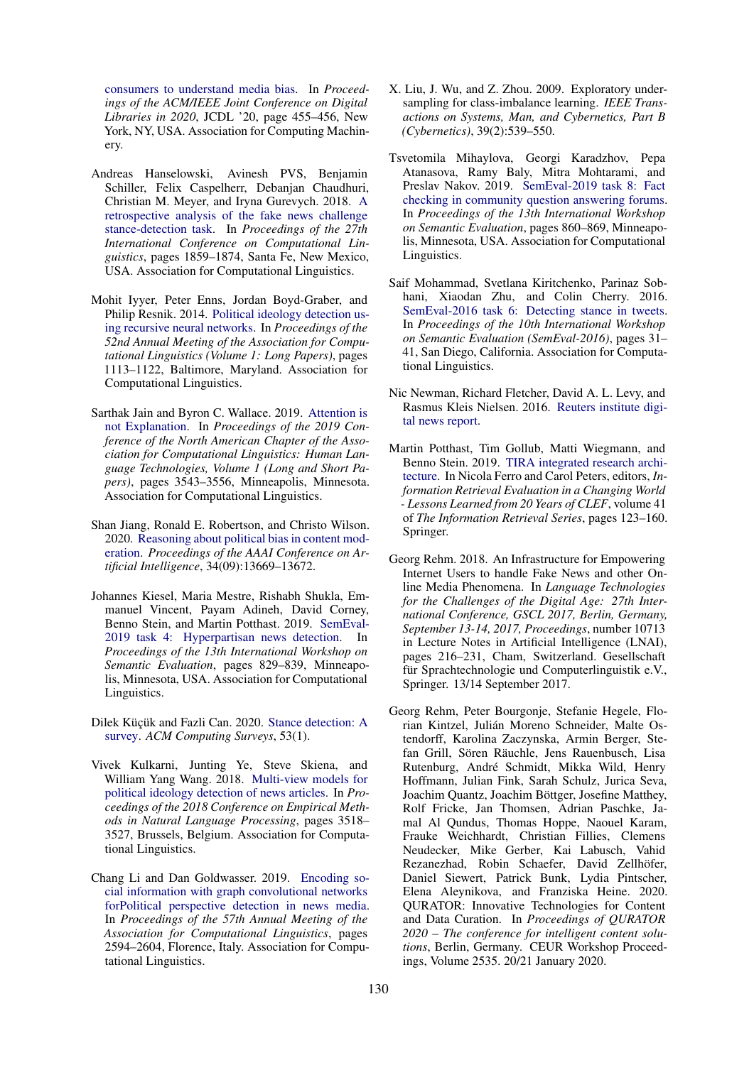[consumers to understand media bias.](https://doi.org/10.1145/3383583.3398561) In *Proceedings of the ACM/IEEE Joint Conference on Digital Libraries in 2020*, JCDL '20, page 455–456, New York, NY, USA. Association for Computing Machinery.

- <span id="page-9-1"></span>Andreas Hanselowski, Avinesh PVS, Benjamin Schiller, Felix Caspelherr, Debanjan Chaudhuri, Christian M. Meyer, and Iryna Gurevych. 2018. [A](https://www.aclweb.org/anthology/C18-1158) [retrospective analysis of the fake news challenge](https://www.aclweb.org/anthology/C18-1158) [stance-detection task.](https://www.aclweb.org/anthology/C18-1158) In *Proceedings of the 27th International Conference on Computational Linguistics*, pages 1859–1874, Santa Fe, New Mexico, USA. Association for Computational Linguistics.
- <span id="page-9-10"></span>Mohit Iyyer, Peter Enns, Jordan Boyd-Graber, and Philip Resnik. 2014. [Political ideology detection us](https://doi.org/10.3115/v1/P14-1105)[ing recursive neural networks.](https://doi.org/10.3115/v1/P14-1105) In *Proceedings of the 52nd Annual Meeting of the Association for Computational Linguistics (Volume 1: Long Papers)*, pages 1113–1122, Baltimore, Maryland. Association for Computational Linguistics.
- <span id="page-9-14"></span>Sarthak Jain and Byron C. Wallace. 2019. [Attention is](https://doi.org/10.18653/v1/N19-1357) [not Explanation.](https://doi.org/10.18653/v1/N19-1357) In *Proceedings of the 2019 Conference of the North American Chapter of the Association for Computational Linguistics: Human Language Technologies, Volume 1 (Long and Short Papers)*, pages 3543–3556, Minneapolis, Minnesota. Association for Computational Linguistics.
- <span id="page-9-6"></span>Shan Jiang, Ronald E. Robertson, and Christo Wilson. 2020. [Reasoning about political bias in content mod](https://doi.org/10.1609/aaai.v34i09.7117)[eration.](https://doi.org/10.1609/aaai.v34i09.7117) *Proceedings of the AAAI Conference on Artificial Intelligence*, 34(09):13669–13672.
- <span id="page-9-4"></span>Johannes Kiesel, Maria Mestre, Rishabh Shukla, Emmanuel Vincent, Payam Adineh, David Corney, Benno Stein, and Martin Potthast. 2019. [SemEval-](https://doi.org/10.18653/v1/S19-2145)[2019 task 4: Hyperpartisan news detection.](https://doi.org/10.18653/v1/S19-2145) In *Proceedings of the 13th International Workshop on Semantic Evaluation*, pages 829–839, Minneapolis, Minnesota, USA. Association for Computational Linguistics.
- <span id="page-9-9"></span>Dilek Küçük and Fazli Can. 2020. [Stance detection: A](https://doi.org/10.1145/3369026) [survey.](https://doi.org/10.1145/3369026) *ACM Computing Surveys*, 53(1).
- <span id="page-9-7"></span>Vivek Kulkarni, Junting Ye, Steve Skiena, and William Yang Wang. 2018. [Multi-view models for](https://doi.org/10.18653/v1/D18-1388) [political ideology detection of news articles.](https://doi.org/10.18653/v1/D18-1388) In *Proceedings of the 2018 Conference on Empirical Methods in Natural Language Processing*, pages 3518– 3527, Brussels, Belgium. Association for Computational Linguistics.
- <span id="page-9-8"></span>Chang Li and Dan Goldwasser. 2019. [Encoding so](https://doi.org/10.18653/v1/P19-1247)[cial information with graph convolutional networks](https://doi.org/10.18653/v1/P19-1247) [forPolitical perspective detection in news media.](https://doi.org/10.18653/v1/P19-1247) In *Proceedings of the 57th Annual Meeting of the Association for Computational Linguistics*, pages 2594–2604, Florence, Italy. Association for Computational Linguistics.
- <span id="page-9-12"></span>X. Liu, J. Wu, and Z. Zhou. 2009. Exploratory undersampling for class-imbalance learning. *IEEE Transactions on Systems, Man, and Cybernetics, Part B (Cybernetics)*, 39(2):539–550.
- <span id="page-9-2"></span>Tsvetomila Mihaylova, Georgi Karadzhov, Pepa Atanasova, Ramy Baly, Mitra Mohtarami, and Preslav Nakov. 2019. [SemEval-2019 task 8: Fact](https://doi.org/10.18653/v1/S19-2149) [checking in community question answering forums.](https://doi.org/10.18653/v1/S19-2149) In *Proceedings of the 13th International Workshop on Semantic Evaluation*, pages 860–869, Minneapolis, Minnesota, USA. Association for Computational Linguistics.
- <span id="page-9-3"></span>Saif Mohammad, Svetlana Kiritchenko, Parinaz Sobhani, Xiaodan Zhu, and Colin Cherry. 2016. [SemEval-2016 task 6: Detecting stance in tweets.](https://doi.org/10.18653/v1/S16-1003) In *Proceedings of the 10th International Workshop on Semantic Evaluation (SemEval-2016)*, pages 31– 41, San Diego, California. Association for Computational Linguistics.
- <span id="page-9-0"></span>Nic Newman, Richard Fletcher, David A. L. Levy, and Rasmus Kleis Nielsen. 2016. [Reuters institute digi](https://reutersinstitute.politics.ox.ac.uk/our-research/digital-news-report-2016)[tal news report.](https://reutersinstitute.politics.ox.ac.uk/our-research/digital-news-report-2016)
- <span id="page-9-13"></span>Martin Potthast, Tim Gollub, Matti Wiegmann, and Benno Stein. 2019. [TIRA integrated research archi](https://doi.org/10.1007/978-3-030-22948-1_5)[tecture.](https://doi.org/10.1007/978-3-030-22948-1_5) In Nicola Ferro and Carol Peters, editors, *Information Retrieval Evaluation in a Changing World - Lessons Learned from 20 Years of CLEF*, volume 41 of *The Information Retrieval Series*, pages 123–160. Springer.
- <span id="page-9-5"></span>Georg Rehm. 2018. An Infrastructure for Empowering Internet Users to handle Fake News and other Online Media Phenomena. In *Language Technologies for the Challenges of the Digital Age: 27th International Conference, GSCL 2017, Berlin, Germany, September 13-14, 2017, Proceedings*, number 10713 in Lecture Notes in Artificial Intelligence (LNAI), pages 216–231, Cham, Switzerland. Gesellschaft für Sprachtechnologie und Computerlinguistik e.V., Springer. 13/14 September 2017.
- <span id="page-9-11"></span>Georg Rehm, Peter Bourgonje, Stefanie Hegele, Florian Kintzel, Julián Moreno Schneider, Malte Ostendorff, Karolina Zaczynska, Armin Berger, Stefan Grill, Sören Räuchle, Jens Rauenbusch, Lisa Rutenburg, André Schmidt, Mikka Wild, Henry Hoffmann, Julian Fink, Sarah Schulz, Jurica Seva, Joachim Quantz, Joachim Böttger, Josefine Matthey, Rolf Fricke, Jan Thomsen, Adrian Paschke, Jamal Al Qundus, Thomas Hoppe, Naouel Karam, Frauke Weichhardt, Christian Fillies, Clemens Neudecker, Mike Gerber, Kai Labusch, Vahid Rezanezhad, Robin Schaefer, David Zellhöfer, Daniel Siewert, Patrick Bunk, Lydia Pintscher, Elena Aleynikova, and Franziska Heine. 2020. QURATOR: Innovative Technologies for Content and Data Curation. In *Proceedings of QURATOR 2020 – The conference for intelligent content solutions*, Berlin, Germany. CEUR Workshop Proceedings, Volume 2535. 20/21 January 2020.